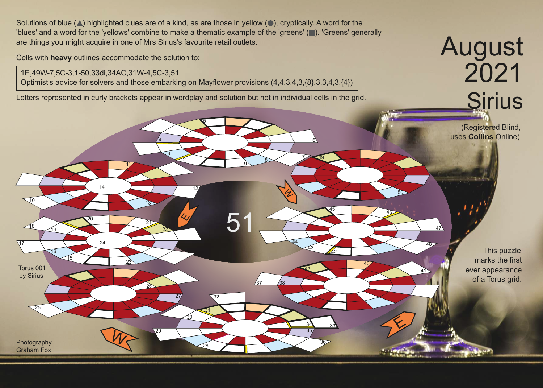Solutions of blue  $(\triangle)$  highlighted clues are of a kind, as are those in yellow  $(\triangle)$ , cryptically. A word for the 'blues' and a word for the 'yellows' combine to make a thematic example of the 'greens' ( ). 'Greens' generally are things you might acquire in one of Mrs Sirius's favourite retail outlets.

Cells with **heavy** outlines accommodate the solution to:

Photography Graham Fox

25

Torus 001 by Sirius

17

 $10$ 

 $\frac{18}{19}$ 

16

15

1E,49W-7,5C-3,1-50,33di,34AC,31W-4,5C-3,51 Optimist's advice for solvers and those embarking on Mayflower provisions (4,4,3,4,3,{8},3,3,4,3,{4})

2

3

22

27

 $\overline{30}$ 

32

31

4

13

26

29

11

<sup>20</sup> <sup>21</sup>

 $\mathcal{W}$ 

23

14

24

Letters represented in curly brackets appear in wordplay and solution but not in individual cells in the grid.

1

12

<u>9</u>

5

<u>ይ</u>

<sup>28</sup> <sup>36</sup>

37 /38

7

6

49

34 33

40

<sup>45</sup> <sup>46</sup>

41

48

 $47$ 

50

E

35

39

43

44

42

5

August 2021 **Sirius** 

> (Registered Blind, uses **Collins** Online)

> > $21.7$

This puzzle marks the first ever appearance of a Torus grid.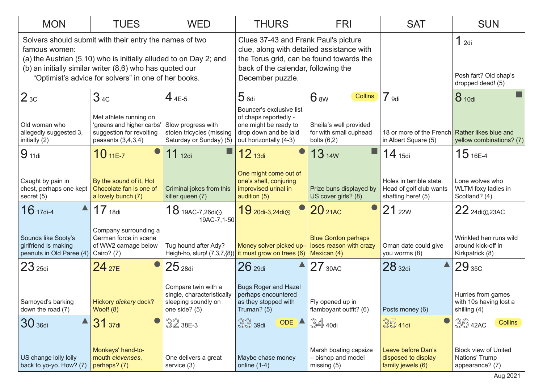| <b>MON</b>                                                                                                                                                                                                                                                        | <b>TUES</b>                                                                                             | <b>WED</b>                                                                                | <b>THURS</b>                                                                                                                                                                             | <b>FRI</b>                                                        | <b>SAT</b>                                                                | <b>SUN</b>                                                       |
|-------------------------------------------------------------------------------------------------------------------------------------------------------------------------------------------------------------------------------------------------------------------|---------------------------------------------------------------------------------------------------------|-------------------------------------------------------------------------------------------|------------------------------------------------------------------------------------------------------------------------------------------------------------------------------------------|-------------------------------------------------------------------|---------------------------------------------------------------------------|------------------------------------------------------------------|
| Solvers should submit with their entry the names of two<br>famous women:<br>(a) the Austrian (5,10) who is initially alluded to on Day 2; and<br>(b) an initially similar writer (8,6) who has quoted our<br>"Optimist's advice for solvers" in one of her books. |                                                                                                         |                                                                                           | Clues 37-43 and Frank Paul's picture<br>clue, along with detailed assistance with<br>the Torus grid, can be found towards the<br>back of the calendar, following the<br>December puzzle. |                                                                   |                                                                           | 1 <sub>2di</sub><br>Posh fart? Old chap's<br>dropped dead! (5)   |
| 2 <sub>3C</sub>                                                                                                                                                                                                                                                   | 34c                                                                                                     | $44E-5$                                                                                   | 5 <sub>6di</sub>                                                                                                                                                                         | 6 <sub>8W</sub><br><b>Collins</b>                                 | 7 <sub>9di</sub>                                                          | 8 10di                                                           |
| Old woman who<br>allegedly suggested 3,<br>initially (2)                                                                                                                                                                                                          | Met athlete running on<br>'greens and higher carbs'<br>suggestion for revolting<br>peasants $(3,4,3,4)$ | Slow progress with<br>stolen tricycles (missing<br>Saturday or Sunday) (5)                | Bouncer's exclusive list<br>of chaps reportedly -<br>one might be ready to<br>drop down and be laid<br>out horizontally (4-3)                                                            | Sheila's well provided<br>for with small cuphead<br>bolts $(6,2)$ | 18 or more of the French Rather likes blue and<br>in Albert Square (5)    | yellow combinations? (7)                                         |
| 9 <sub>11di</sub>                                                                                                                                                                                                                                                 | $10_{11E-7}$                                                                                            | $11_{12di}$                                                                               | $12$ 13di                                                                                                                                                                                | $13$ 14W                                                          | $14$ 15di                                                                 | $15$ 16E-4                                                       |
| Caught by pain in<br>chest, perhaps one kept<br>secret $(5)$                                                                                                                                                                                                      | By the sound of it, Hot<br>Chocolate fan is one of<br>a lovely bunch (7)                                | Criminal jokes from this<br>killer queen (7)                                              | One might come out of<br>one's shell, conjuring<br>improvised urinal in<br>audition (5)                                                                                                  | Prize buns displayed by<br>US cover girls? (8)                    | Holes in terrible state.<br>Head of golf club wants<br>shafting here! (5) | Lone wolves who<br>WLTM foxy ladies in<br>Scotland? (4)          |
| $16$ 17di-4                                                                                                                                                                                                                                                       | 17 <sub>18di</sub>                                                                                      | $18$ 19AC-7,26di $\odot$ ,<br>19AC-7,1-50                                                 | 19 20di-3,24di <sup>o</sup>                                                                                                                                                              | 20 <sub>21AC</sub>                                                | 21 <sub>22W</sub>                                                         | 22 24di <sub>(0,23AC</sub>                                       |
| Sounds like Sooty's<br>girlfriend is making<br>peanuts in Old Paree (4)                                                                                                                                                                                           | Company surrounding a<br>German force in scene<br>of WW2 carnage below<br>Cairo? (7)                    | Tug hound after Ady?                                                                      | Money solver picked up-<br>Heigh-ho, slurp! $(7,3,7,\{8\})$ it must grow on trees (6) Mexican (4)                                                                                        | <b>Blue Gordon perhaps</b><br>loses reason with crazy             | Oman date could give<br>you worms (8)                                     | Wrinkled hen runs wild<br>around kick-off in<br>Kirkpatrick (8)  |
| 23 <sub>25di</sub>                                                                                                                                                                                                                                                | $24_{27E}$                                                                                              | $25$ <sub>28di</sub>                                                                      | 26 <sub>29di</sub>                                                                                                                                                                       | 27 <sub>30AC</sub>                                                | 28 <sub>32di</sub>                                                        | $29$ $_{\rm 35C}$                                                |
| Samoyed's barking<br>down the road (7)                                                                                                                                                                                                                            | Hickory dickery dock?<br>Woof! $(8)$                                                                    | Compare twin with a<br>single, characteristically<br>sleeping soundly on<br>one side? (5) | <b>Bugs Roger and Hazel</b><br>perhaps encountered<br>as they stopped with<br>Truman? (5)                                                                                                | Fly opened up in<br>flamboyant outfit? (6)                        | Posts money (6)                                                           | Hurries from games<br>with 10s having lost a<br>shilling (4)     |
| 30 <sub>36di</sub>                                                                                                                                                                                                                                                | 31 37di                                                                                                 | $3238E-3$                                                                                 | ODE A<br>$33$ 39di                                                                                                                                                                       | $34$ 40di                                                         | $3541$ di                                                                 | $36$ 42AC<br><b>Collins</b>                                      |
| US change lolly lolly<br>back to yo-yo. How? (7)                                                                                                                                                                                                                  | Monkeys' hand-to-<br>mouth elevenses,<br>perhaps? (7)                                                   | One delivers a great<br>service (3)                                                       | Maybe chase money<br>online $(1-4)$                                                                                                                                                      | Marsh boating capsize<br>- bishop and model<br>missing $(5)$      | Leave before Dan's<br>disposed to display<br>family jewels (6)            | <b>Block view of United</b><br>Nations' Trump<br>appearance? (7) |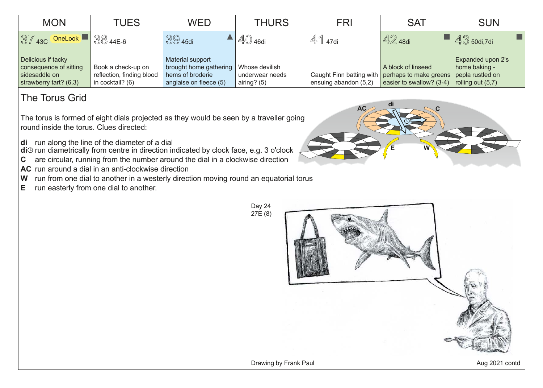| <b>MON</b>                                                                                | TUES                                                                | WED                                                                                      | <b>THURS</b>                                       | FRI                   | <b>SAT</b>                                                                                        | <b>SUN</b>                                                                    |
|-------------------------------------------------------------------------------------------|---------------------------------------------------------------------|------------------------------------------------------------------------------------------|----------------------------------------------------|-----------------------|---------------------------------------------------------------------------------------------------|-------------------------------------------------------------------------------|
| $37$ 43C OneLook $\blacksquare$ 38 44E-6                                                  |                                                                     | $3945$ di                                                                                | $\mathbb{4}0$ 46di                                 | $\mathbb{4}$ 1 47di   | $\sqrt{42}$ 48di                                                                                  | $43$ 50di,7di                                                                 |
| Delicious if tacky<br>consequence of sitting<br>sidesaddle on<br>strawberry tart? $(6,3)$ | Book a check-up on<br>reflection, finding blood<br>in cocktail? (6) | Material support<br>brought home gathering<br>hems of broderie<br>anglaise on fleece (5) | Whose devilish<br>underwear needs<br>airing? $(5)$ | ensuing abandon (5,2) | A block of linseed<br>Caught Finn batting with perhaps to make greens<br>easier to swallow? (3-4) | Expanded upon 2's<br>home baking -<br>pepla rustled on<br>rolling out $(5,7)$ |

## The Torus Grid

The torus is formed of eight dials projected as they would be seen by a traveller going round inside the torus. Clues directed:

**di** run along the line of the diameter of a dial

**di**⊙ run diametrically from centre in direction indicated by clock face, e.g. 3 o'clock

- **C** are circular, running from the number around the dial in a clockwise direction
- AC run around a dial in an anti-clockwise direction
- **W** run from one dial to another in a westerly direction moving round an equatorial torus
- **E** run easterly from one dial to another.